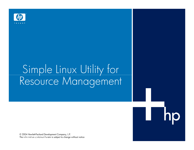

# Simple Linux Utility for Resource Management

© 2004 Hewlett-Packard Development Company, L.P.The information contained herein is subject to change without notice<br> $\overline{\phantom{a}}$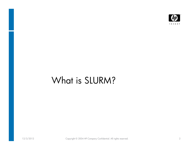

## What is SLURM?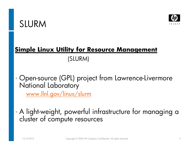



#### **Simple Linux Utility for Resource Management**

(SLURM)

- Open-source (GPL) project from Lawrence-Livermore  $\bullet$  National Laboratorywww.llnl.gov/linux/slurm
- $\bullet$ A light-weight, powerful infrastructure for managing a cluster of compute resources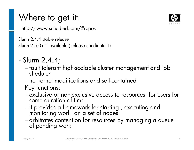## Where to get it:

http://www.schedmd.com/#repos

Slurm 2.4.4 stable release

Slurm 2.5.0-rc1 available ( release candidate 1)

- $\bullet$ • Slurm 2.4.4;
	- fault tolerant high-scalable cluster management and job sheduler
	- no kernel modifications and self-contained

- Key functions:<br>
 exclusive or non-exclusive access to resources for users for<br>
some duration of time<br>
 it provides a framework for starting, executing and<br>
monitoring work on a set of nodes<br>
 arbitrates contention for r
- 
- 



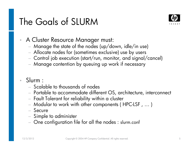### The Goals of SLURM



- • A Cluster Resource Manager must:
	- Manage the state of the nodes (up/down, idle/in use)
	- Allocate nodes for (sometimes exclusive) use by users
	- Control job execution (start/run, monitor, and signal/cancel)
	- $-$  Manage contention by queuing up work if necessary

#### •Slurm :

- Scalable to thousands of nodes
- Portable to accommodate different OS, architecture, interconnect<br>Facult Final controller that the controller to the controller that the controller
- Fault Tolerant for reliability within a cluster
- Modular to work with other components ( HPC-LSF , … )
- Secure<br>- -
- Simple to administer
- $-$  One configuration file for all the nodes : slurm.conf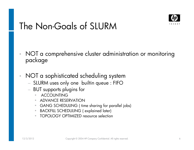

#### The Non-Goals of SLURM

- •NOT a comprehensive cluster administration or monitoring package
- • NOT a sophisticated scheduling system
	- NITIRM IICAS ONN ONA DIIIIIIN OIIAIIA ' FIFL SLURM uses only one builtin queue : FIFO
	- − BUT supports plugins for
		- •ACCOUNTING
		- ADVANCE RESERVATION•
		- GANG SCHEDULING ( time sharing for parallel jobs)  $\bullet$
		- •BACKFILL SCHEDULING ( explained later)
		- $\bullet$ TOPOLOGY OPTIMIZED resource selection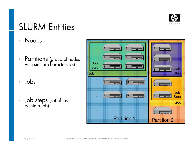

#### SLURM Entities

- •Nodes
- •Partitions (group of nodes with similar characterstics)
- •Jobs
- •• **Job steps** (set of tasks within a job)

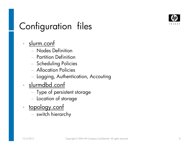

# Configuration files

#### •slurm.conf

- Nodes Definition
- Partition Definition
- Scheduling Policies
- Allocation Policies
- $-$  Logging, Authentication, Accouting
- •<u>slurmdbd.conf</u>
	- $-$  Type of persistent storage  $\,$
	- $-$  Location of storage
- •topology.conf
	- $-$  switch hierarchy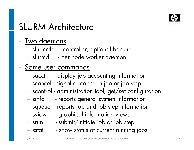

# SLURM Architecture

#### •Two daemons

- slurmctld controller, optional backup
- slurmd per node worker daemon

#### $\bullet$ Some user commands

- − sacct - display job accounting information
- scancel signal or cancel a job or job step
- scontrol administration tool, get/set configuratio n
- − sinfo - reports general system information
- squeue reports job and job step information
- sview graphical information viewer
- srun submit/initiate job or job step
- sstat - show status of current running jobs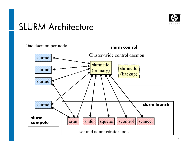

#### SLURM Architecture

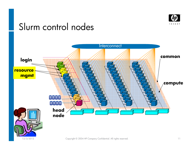

#### Slurm control nodes



12/3/2012 Copyright © 2004 HP Company Confidential. All rights reserved. 11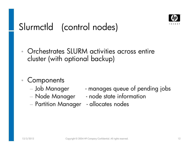

## Slurmctld (control nodes)

- •• Orchestrates SLURM activities across entire cluster (with optional backup)
- $\bullet$ **Components** 
	- − Job Manager
	-
	- $-$  Partition Manager  $\,$  allocates nodes
- manages queue of pending jobs
	- Node Manager node state information
		-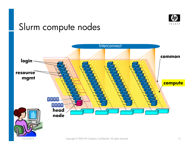

### Slurm compute nodes

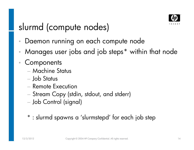

### slurmd (compute nodes)

- $\bullet$ Daemon running on each compute node
- •Manages user jobs and job steps\* within that node
- •**Components** 
	- Machine Status
	- Job Status−
	- **Remote Execution**
	- Stream Copy (stdin, stdout, and stderr)
	- Job Control (signal)
	- \* : slurmd spawns a 'slurmstepd' for each job step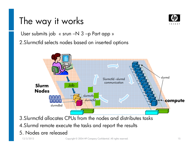### The way it works



User submits job « srun –N 3 –p Part app »

2.Slurmctld selects nodes based on inserted options



3.Slurmctld allocates CPUs from the nodes and distributes tasks

4.Slurmd remote execute the tasks and report the results

#### 5. Nodes are released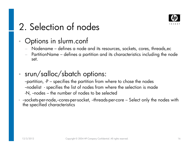

# 2. Selection of nodes

#### $\bullet$ Options in slurm.conf

- Nodename defines a node and its resources, sockets, cores, threads,ec
- PartitionName defines a partition and its characteristics including the node set.

#### • srun/salloc/sbatch options:

 --partition, -P – specifies the partition from where to chose the nodes --nodelist - specifies the list of nodes from where the selection is made -N, --nodes – the number of nodes to be selected

• --sockets-per-node,--cores-per-socket, --threads-per-core – Select only the nodes with<br>the specified characteristics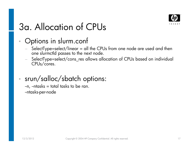

# 3a. Allocation of CPUs

#### •Options in slurm.conf

- SelectType=select/linear = all the CPUs from one node are used and then<br>one slurmctld passes to the next node.
- −SelectType=select/cons\_res allows allocation of CPUs based on individual CPUs/cores.
- srun/salloc/sbatch options: $\bullet$

 $-n$ ,  $-ntasks = total$  tasks to be ran. --ntasks-per-node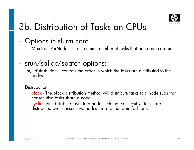

# 3b. Distribution of Tasks on CPUs

#### $\bullet$ Options in slurm.conf

- MaxTasksPerNode the maximum number of tasks that one node can run.
- • srun/salloc/sbatch options:
	- --m, --distrubution controls the order in which the tasks are distributed to the nodes.

#### Distrubution:

block - The block distribution method will distribute tasks to a node such that consecutive tasks share a node.

<mark>cyclic</mark> - will distribute tasks to a node such that consecutive tasks are<br>distributed over consecutive nodes (in a round-robin fashion).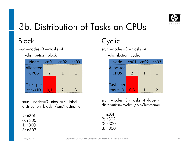

# 3b. Distribution of Tasks on CPUs

#### Block

srun  $-$ nodes= $3 -$ ntasks= $4$ 

--distribution=block

| <b>Node</b> | cn01          | cn02          | cn03 |
|-------------|---------------|---------------|------|
| Allocated   |               |               |      |
| <b>CPUS</b> | $\mathcal{P}$ |               |      |
|             |               |               |      |
| Tasks per   |               |               |      |
| tasks ID    | 0,1           | $\mathcal{L}$ | ર    |

srun  $-$ nodes=3 $-$ ntasks=4 $-$ label distribution=block /bin/hostname

2: n301 0: n3001: n300

3: n302

#### Cyclic

 srun –-nodes=3 –-ntasks=4--distribution=cyclic

| <u>-aisiripuliori—cyclic</u>                   |               |   |  |
|------------------------------------------------|---------------|---|--|
| Node $\lceil$ cn01 $\lceil$ cn02 $\lceil$ cn03 |               |   |  |
| <b>Allocated</b>                               |               |   |  |
| <b>CPUS</b>                                    | $\mathcal{P}$ | 1 |  |
|                                                |               |   |  |
| Tasks per                                      |               |   |  |

tasks  $|D|$  0,3 1 2

srun  $-nodes = 3 -ntasks = 4 -label$ distribution=cyclic /bin/hostname

1: n301 2: n302 0: n3003: n300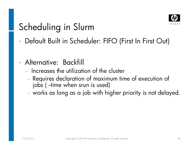

# Scheduling in Slurm

- •Default Built in Scheduler: FIFO (First In First Out)
- • Alternative: Backfill
	- Increases the utilization of the cluster
	- Requires declaration of maximum time of execution of jobs (--time when srun is used)
	- $-$  works as long as a job with higher priority is not delayed.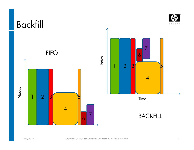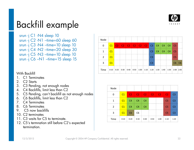

#### Backfill example

srun -j C1 -N4 sleep 10 srun -j C2 -N1 –time=60 sleep 60 srun -j C3 -N4 –time=10 sleep 10 srun -j C4 -N2 –time=20 sleep 30 srun -j C5 -N3 –time=10 sleep 10 srun -j C6 –N1 –time=15 sleep 15

#### With Backfill

- 1. C1 Terminates
- 2. C2 Starts
- 3. C3 Pending, not enough nodes
- 4. C4 Backfills, limit less than C2
- 5. C5 Pending, can't backfill as not enough nodes
- 6. C6 Backfills, limit less than C2
- 7. C4 Terminates
- 8. C6 Terminates<br>9 C5 now back
- C<sub>5</sub> now backfills
- 10. C2 terminates
- 11. C3 waits for C5 to terminate.
- 12. C5's termnation still before C2's expected termination.

| Node           |                |       |                                                                                                                    |  |  |                |    |           |                |            |
|----------------|----------------|-------|--------------------------------------------------------------------------------------------------------------------|--|--|----------------|----|-----------|----------------|------------|
| 0              | C <sub>1</sub> | IC2 7 | $ $ C2 $ $ C2 $ $ C2 $ $ C2 $ $ C2 $ $                                                                             |  |  | C3             |    |           | C <sub>5</sub> |            |
| 1              | C <sub>1</sub> |       |                                                                                                                    |  |  | C <sub>3</sub> | C4 | $C4$ $C4$ | C <sub>5</sub> |            |
| $\overline{2}$ | C <sub>1</sub> |       |                                                                                                                    |  |  | C <sub>3</sub> |    |           | C <sub>5</sub> |            |
| 3              | C <sub>1</sub> |       |                                                                                                                    |  |  | C <sub>3</sub> |    |           | C <sub>6</sub> | $\cdot$ C6 |
| Time           |                |       | $0.10 \pm 0.20 \pm 0.30 \pm 0.40 \pm 0.50 \pm 1.00 \pm 1.10 \pm 1.20 \pm 1.30 \pm 1.40 \pm 1.50 \pm 2.00 \pm 2.05$ |  |  |                |    |           |                |            |

| Node           |      |           |                |                |                |          |                |                |
|----------------|------|-----------|----------------|----------------|----------------|----------|----------------|----------------|
| 0              | C1   | C2        | C2             | C2             | C <sub>2</sub> | C2<br>31 | C <sub>2</sub> | C <sub>3</sub> |
| 1              | C1   | $C4$ $C4$ |                | C <sub>4</sub> |                |          | C <sub>5</sub> | C <sub>3</sub> |
| $\overline{2}$ | C1   | $C4$ $C4$ |                | C <sub>4</sub> |                |          | C <sub>5</sub> | C <sub>3</sub> |
| 3              | C1   | C6        | C <sub>6</sub> |                |                |          | C5             | C <sub>3</sub> |
| Time           | 0:10 | 0:20      | 0:30           | 0:40           | 0:50           | 1:00     | 1:10           | 1:20           |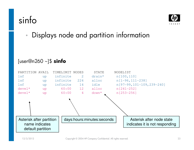## sinfo



•Displays node and partition information

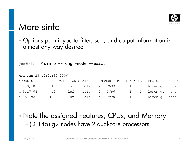

#### More sinfo

•Options permit you to filter, sort, and output information in almost any way desired

[root@n194 ~]#  $\textsf{sinfo}$  --long -node --exact

| Mon Jan 23 15:54:35 2006                           |     |                                                                   |  |  |  |                                      |  |
|----------------------------------------------------|-----|-------------------------------------------------------------------|--|--|--|--------------------------------------|--|
| NODELIST                                           |     | NODES PARTITION STATE CPUS MEMORY TMP_DISK WEIGHT FEATURES REASON |  |  |  |                                      |  |
| n[1-8,10-16] 15 lsf idle 2 7633 1 1 himem, q1 none |     |                                                                   |  |  |  |                                      |  |
| n [9, 17–64] 49                                    |     |                                                                   |  |  |  | 1sf idle 2 3696 1 1 1 1omem, q1 none |  |
| n [65–192]                                         | 128 |                                                                   |  |  |  | 1sf idle 4 7970 1 1 himem, q2 none   |  |

• Note the assigned Features, CPUs, and Memory(DL145) g2 nodes have 2 dual-core processors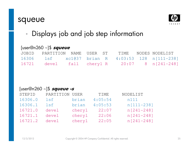#### squeue



•Displays job and job step information

#### [user@n260 ~]\$ **squeue**

| JOBID | PARTITION NAME USER ST |  |  | TIME – NODES NODELIST                               |
|-------|------------------------|--|--|-----------------------------------------------------|
| 16306 |                        |  |  | 1sf xc1037 brian R 4:03:53 128 n[111-238]           |
|       |                        |  |  | $16721$ devel fall cheryl R $20:07$ 8 n $[241-248]$ |

#### [user@n260 ~]\$ **squeue -s**

| STEPID  | PARTITION USER |        | TIME    | NODELIST    |
|---------|----------------|--------|---------|-------------|
| 16306.0 | lsf            | brian  | 4:05:54 | n111        |
| 16306.1 | lsf            | brian  | 4:05:53 | n [111-238] |
| 16721.0 | devel          | cheryl | 22:07   | n [241-248] |
| 16721.1 | devel          | cheryl | 22:06   | n [241-248] |
| 16721.2 | devel          | cheryl | 22:05   | n [241-248] |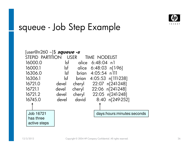

#### squeue - Job Step Example

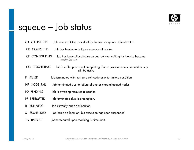

# squeue – Job status

| CA CANCELLED           | Job was explicitly cancelled by the user or system administrator.                         |
|------------------------|-------------------------------------------------------------------------------------------|
| <b>CD COMPLETED</b>    | Job has terminated all processes on all nodes.                                            |
| CF CONFIGURING         | Job has been allocated resources, but are waiting for them to become<br>ready for use     |
| <b>CG COMPLETING</b>   | Job is in the process of completing. Some processes on some nodes may<br>still be active. |
| <b>FAILED</b><br>F.    | Job terminated with non-zero exit code or other failure condition.                        |
| NF NODE_FAIL           | Job terminated due to failure of one or more allocated nodes.                             |
| PD PENDING             | Job is awaiting resource allocation.                                                      |
| PR PREEMPTED           | Job terminated due to preemption.                                                         |
| <b>RUNNING</b><br>R.   | Job currently has an allocation.                                                          |
| <b>SUSPENDED</b><br>S. | Job has an allocation, but execution has been suspended.                                  |
| <b>TO TIMEOUT</b>      | Job terminated upon reaching its time limit.                                              |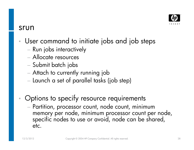

#### srun

- • User command to initiate jobs and job steps
	- Run jobs interactively
	- Allocate resources
	- Submit batch jobs
	- Attach to currently running job
	-
- 
- Launch a set of parallel tasks (job step)<br>
 Options to specify resource requirements<br>
 Partition, processor count, node count, minimum<br>
memory per node, minimum processor count per node,<br>
specific nodes to use or avoi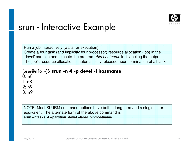

#### srun - Interactive Example

Run a job interactively (waits for execution).Create a four task (and implicitly four processor) resource allocation (job) in the 'devel' partition and execute the program */bin/hostname* in it labeling the output.<br>-The job's resource allocation is automatically released upon termination of all tasks.

#### [user@n16 ~]\$ **srun -n 4 -p devel -l hostname**

0: n8

1: n8

2: n9

3: n9

NOTE: Most SLURM command options have both a long form and a single letter equivalent. The alternate form of the above command is**srun --ntasks=4 --partition=devel --label /bin/hostname**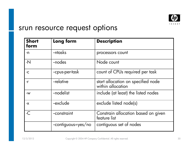

#### srun resource request options

| <b>Short</b><br>form | Long form           | <b>Description</b>                                      |
|----------------------|---------------------|---------------------------------------------------------|
| -n                   | --ntasks            | processors count                                        |
| $-N$                 | -nodes              | Node count                                              |
| $-C$                 | --cpus-per-task     | count of CPUs required per task                         |
| $-r$                 | -relative           | start allocation on specified node<br>within allocation |
| $-W$                 | -nodelist           | include (at least) the listed nodes                     |
| $-X$                 | --exclude           | exclude listed node(s)                                  |
| $-C$                 | -constraint         | Constrain allocation based on given<br>feature list     |
|                      | --contiguous=yes/no | contiguous set of nodes                                 |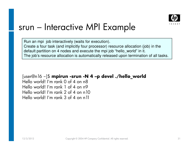

#### srun – Interactive MPI Example

Run an mpi job interactively (waits for execution). Create a four task (and implicitly four processor) resource allocation (job) in the default partition on 4 nodes and execute the mpi job "hello\_world" in it.The job's resource allocation is automatically released upon termination of all tasks.

[user@n16 ~]\$ **mpirun -srun -N 4 –p devel ./hello\_world** Hello world! I'm rank 0 of 4 on n8 Hello world! I'm rank 1 of 4 on n9 Hello world! I'm rank 2 of 4 on n10Hello world! I'm rank 3 of 4 on n11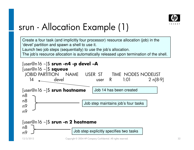

### srun - Allocation Example (1)

Create a four task (and implicitly four processor) resource allocation (job) in the 'devel' partition and spawn a shell to use it.

Launch two job steps (sequentially) to use the job's allocation.

The job's resource allocation is automatically released upon termination of the shell.

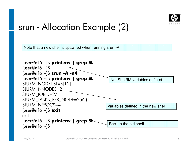

#### srun - Allocation Example (2)

Note that a new shell is spawned when running srun -A

| [user@n16 ~]\$ printenv   grep SL                           |                                    |
|-------------------------------------------------------------|------------------------------------|
| [user@n] $6 \sim$ ]\$                                       |                                    |
| [user@n16 ~]\$ srun -A -n4                                  |                                    |
| [user@n16 ~]\$ printenv   grep SL                           | No SLURM variables defined         |
| SLURM_NODELIST=n[1-2]                                       |                                    |
| SLURM_NNODES=2                                              |                                    |
| SLURM_JOBID=27                                              |                                    |
| SLURM_TASKS_PER_NODE=2(x2)                                  |                                    |
| <b>SLURM NPROCS=4</b>                                       | Variables defined in the new shell |
| [user@n]6 ~]\$ exit                                         |                                    |
| exit                                                        |                                    |
| [user@n 16 ~]\$ printenv   grep St<br>[user@n] $6 \sim$ ]\$ | Back in the old shell              |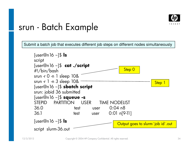

#### srun - Batch Example

Submit a batch job that executes different job steps on different nodes simultaneously

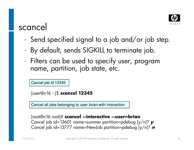

#### scancel

- •Send specified signal to a job and/or job step.
- •By default, sends SIGKILL to terminate job.
- •Filters can be used to specify user, program name, partition, job state, etc.

Cancel job id 12345

[user@n16 ~]\$ **scancel 12345**

Cancel all jobs belonging to user *brian* with interaction

```
[root@n16 root]# scancel --interactive --user=brian
Cancel job id=13601 name=summer partition=pdebug [y/n]? y
Cancel job id=13777 name=NewJob partition=pdebug [y/n]? n
```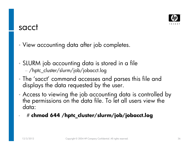

#### sacct

•View accounting data after job completes.

- • SLURM job accounting data is stored in a file/hptc\_cluster/slurm/job/jobacct.log
- The 'sacct' command accesses and parses this file and •displays the data requested by the user.
- •Access to viewing the job accounting data is controlled by the permissions on the data file. To let all users view the data:
- •# **chmod 644 /hptc\_cluster/slurm/job/jobacct.log**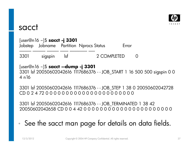

#### sacct

[user@n16 ~]\$ **sacct -j 3301** Jobstep Jobname Partition Nprocs Status Error-------------3301 sigspin lsf 2 COMPLETED 0

[user@n16 ~]\$ **sacct --dump -j 3301** 3301 lsf 20050602042616 1117686376 - - JOB\_START 1 16 500 500 sigspin 0 0 4 n16

3301 lsf 20050602042616 1117686376 - - JOB\_STEP 1 38 0 20050602042728 CD 0 2 4 72 0 0 0 0 0 0 0 0 0 0 0 0 0 0 0 0 0 0 0 0 0 0

3301 lsf 20050602042616 1117686376 - - JOB\_TERMINATED 1 38 42 20050602042658 CD 0 0 4 42 0 0 0 0 0 0 0 0 0 0 0 0 0 0 0 0 0 0 0 0 0 0

#### •See the sacct man page for details on data fields.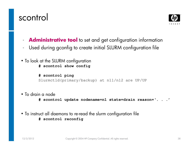



- •**Administrative tool** to set and get configuration information
- $\bullet$ Used during gconfig to create initial SLURM configuration file
- To look at the SLURM configuration **# scontrol show config**

**# scontrol ping**Slurmctld(primary/backup) at n11/n12 are UP/UP

• To drain a node

**# scontrol update nodename=n1 state=drain reason='. . .'**

• To instruct all daemons to re-read the slurm configuration file **# scontrol reconfig**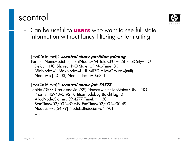#### scontrol



•• Can be useful to **users** who want to see full state information without fancy filtering or formatting

[root@n16 root]# **scontrol show partition pdebug** PartitionName=pdebug TotalNodes=64 TotalCPUs=128 RootOnly=NODefault=NO Shared=NO State=UP MaxTime=30 MinNodes=1 MaxNodes=UNLIMITED AllowGroups=(null)Nodes=xc[40-103] NodeIndecies=0,63,-1

[root@n16 root]# **scontrol show job 70573** JobId=70573 UserId=david(789) Name=winter JobState=RUNNINGPriority=4294895192 Partition=pdebug BatchFlag=0AllocNode:Sid=mcr39:4277 TimeLimit=30 StartTime=02/03-14:00:49 EndTime=02/03-14:30:49NodeList=xc[64-79] NodeListIndecies=64,79,-1

….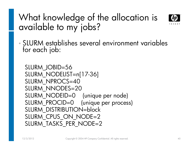# What knowledge of the allocation is available to my jobs?



 $\bullet$ • SLURM establishes several environment variables for each job:

```
SLURM_JOBID=56
SLURM_NODELIST=n[17-36]SLURM_NPROCS=40

SLURM_NNODES=20
SLURM_NODEID=0 (unique per node)
SLURM_PROCID=0 (unique per process)SLURM_DISTRIBUTION=block
SLURM_CPUS_ON_NODE=2
SLURM_TASKS_PER_NODE=2
```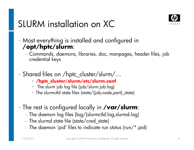

# SLURM installation on XC

- • Most everything is installed and configured in **/opt/hptc/slurm**:
	- Commands, daemons, libraries, doc, manpages, header files, job<br>credential keys
- • Shared files on /hptc\_cluster/slurm/…
	- **/hptc\_cluster/slurm/etc/slurm.conf**
	- The slurm job log file (job/slurm.job.log)
	- The slurmctld state files (state/{job,node,part}\_state)
- • The rest is configured locally in **/var/slurm**:
	- The daemon log files (log/{slurmctld.log,slurmd.log }
	- The slurmd state file (state/cred\_state)
	- $-$  The daemon 'pid' files to indicate run status (run/\*.pid)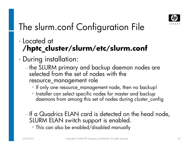

# The slurm.conf Configuration File

- • Located at **/hptc\_cluster/slurm/etc/slurm.conf**
- $\bullet$  During installation:
	- he SLURM primary and backup daemon nodes are selected from the set of nodes with the resource\_management role
		- If only one resource\_management node, then no backup!
		- Installer can select specific nodes for master and backup daemons from among this set of nodes during cluster\_config
	- If a Quadrics ELAN card is detected on the head node, SLURM ELAN switch support is enabled.
		- This can also be enabled/disabled manually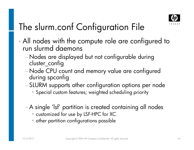

# The slurm.conf Configuration File

- •• All nodes with the compute role are configured to run slurmd daemons
	- Nodes are displayed but not configurable during cluster\_config
	- Node CPU count and memory value are configured<br>during spconfig
	- SLURM supports other configuration options per node
		- Special custom features; weighted scheduling priority
	- −A single 'lsf' partition is created containing all nodes
		- customized for use by LSF-HPC for XC
		- other partition configurations possible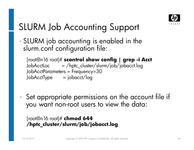

# SLURM Job Accounting Support

- $\bullet$  SLURM job accounting is enabled in the slurm.conf configuration file:
	- [root@n16 root]# **scontrol show config | grep -i Acct**JobAcctLoc = /hptc\_cluster/slurm/job/jobacct.logJobAcctParameters = Frequency=30<br>JobAcctType = jobacct/loq JobAcctType
- •Set appropriate permissions on the account file if you want non-root users to view the data:

```
[root@n16 root]# chmod 644 
/hptc_cluster/slurm/job/jobacct.log
```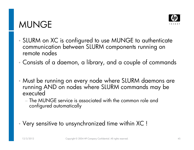#### MUNGE



- •SLURM on XC is configured to use MUNGE to authenticate communication between SLURM components running on remote nodes
- •Consists of a daemon, a library, and a couple of commands
- • Must be running on every node where SLURM daemons are running AND on nodes where SLURM commands may be executed
	- The MUNGE service is associated with the common role and<br>— Cincolation of the common role and configured automatically
- •Very sensitive to unsynchronized time within XC !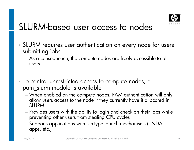

### SLURM-based user access to nodes

- •• SLURM requires user authentication on every node for users<br>submitting jobs
	- As a consequence, the compute nodes are freely accessible to all users
- • To control unrestricted access to compute nodes, a pam\_slurm module is available
	- allow users access to the node if they currently have it allocated in SLURM
	- Fr∩VI Provides users with the ability to login and check on their jobs while preventing other users from stealing CPU cycles
	- $-$  Supports applications with ssh-type launch mechanisms (LINDA  $\,$ apps, etc.)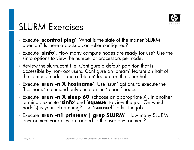

## SLURM Exercises

- •Execute '**scontrol ping**'. What is the state of the master SLURM daemon? Is there a backup controller configured?
- •Execute '**sinfo**'. How many compute nodes are ready for use? Use the sinfo options to view the number of processors per node.
- Review the slurm.conf file. Configure a default partition that is accessible by non-root users. Configure an 'ateam' feature on half of<br>the compute nodes, and a 'bteam' feature on the other half.
- •Execute '**srun –n X hostname**'. Use 'srun' options to execute the 'hostname' command only once on the 'ateam' nodes.
- Execute 'srun -n X sleep 60' (choose an appropriate X). In another terminal, execute '**sinfo**' and '**squeue**' to view the job. On which node(s) is your job running? Use '**scancel**' to kill the job.
- Execute '**srun –n1 printenv | grep SLURM**'. How many SLURM environment variables are added to the user environment?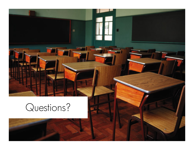# Questions?

12/3/2012 Copyright © 2004 HP Copyright © 2004 HP Company Company Company Company Confidential. All rights reserved. 48